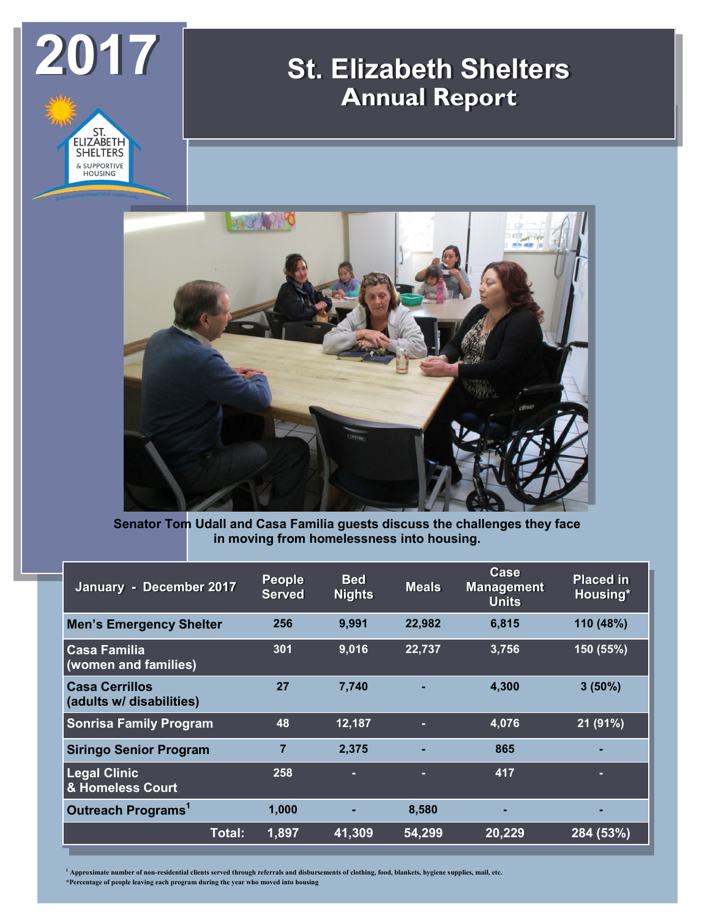

## **St. Elizabeth Shelters Annual Report**



**Senator Tom Udall and Casa Familia guests discuss the challenges they face in moving from homelessness into housing.**

| January - December 2017                           | <b>People</b><br><b>Served</b> | <b>Bed</b><br><b>Nights</b> | <b>Meals</b> | Case<br><b>Management</b><br><b>Units</b> | <b>Placed in</b><br>Housing* |
|---------------------------------------------------|--------------------------------|-----------------------------|--------------|-------------------------------------------|------------------------------|
| <b>Men's Emergency Shelter</b>                    | 256                            | 9,991                       | 22,982       | 6,815                                     | 110 (48%)                    |
| <b>Casa Familia</b><br>(women and families)       | 301                            | 9,016                       | 22,737       | 3,756                                     | 150 (55%)                    |
| <b>Casa Cerrillos</b><br>(adults w/ disabilities) | 27                             | 7,740                       |              | 4,300                                     | $3(50\%)$                    |
| <b>Sonrisa Family Program</b>                     | 48                             | 12,187                      | ۳            | 4,076                                     | 21 (91%)                     |
| <b>Siringo Senior Program</b>                     | $\overline{7}$                 | 2,375                       |              | 865                                       |                              |
| <b>Legal Clinic</b><br>& Homeless Court           | 258                            | -                           | ۳            | 417                                       |                              |
| Outreach Programs <sup>1</sup>                    | 1,000                          |                             | 8,580        | ۰.                                        | -                            |
| Total:                                            | 1,897                          | 41,309                      | 54,299       | 20,229                                    | 284 (53%)                    |

**<sup>1</sup> Approximate number of non-residential clients served through referrals and disbursements of clothing, food, blankets, hygiene supplies, mail, etc.**

**\*Percentage of people leaving each program during the year who moved into housing**